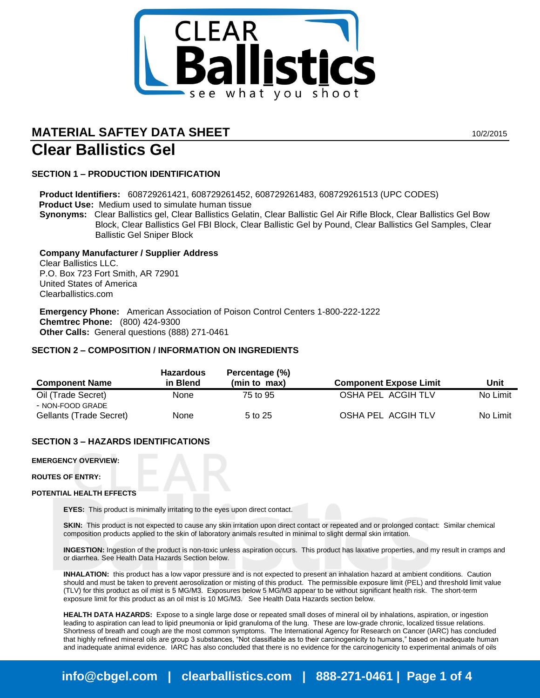

# **MATERIAL SAFTEY DATA SHEET 10/2/2015 Clear Ballistics Gel**

# **SECTION 1 – PRODUCTION IDENTIFICATION**

**Product Identifiers:** 608729261421, 608729261452, 608729261483, 608729261513 (UPC CODES)  **Product Use:** Medium used to simulate human tissue **Synonyms:** Clear Ballistics gel, Clear Ballistics Gelatin, Clear Ballistic Gel Air Rifle Block, Clear Ballistics Gel Bow

Block, Clear Ballistics Gel FBI Block, Clear Ballistic Gel by Pound, Clear Ballistics Gel Samples, Clear Ballistic Gel Sniper Block

**Company Manufacturer / Supplier Address** Clear Ballistics LLC. P.O. Box 723 Fort Smith, AR 72901 United States of America Clearballistics.com

**Emergency Phone:** American Association of Poison Control Centers 1-800-222-1222 **Chemtrec Phone:** (800) 424-9300 **Other Calls:** General questions (888) 271-0461

# **SECTION 2 – COMPOSITION / INFORMATION ON INGREDIENTS**

| <b>Component Name</b>   | <b>Hazardous</b><br>in Blend | Percentage (%)<br>(min to max) | <b>Component Expose Limit</b> | Unit     |
|-------------------------|------------------------------|--------------------------------|-------------------------------|----------|
|                         |                              |                                |                               |          |
| Oil (Trade Secret)      | None                         | 75 to 95                       | OSHA PEL ACGIH TLV            | No Limit |
| - NON-FOOD GRADE        |                              |                                |                               |          |
| Gellants (Trade Secret) | None                         | 5 to 25                        | OSHA PEL ACGIH TLV            | No Limit |

# **SECTION 3 – HAZARDS IDENTIFICATIONS**

**EMERGENCY OVERVIEW:**

**ROUTES OF ENTRY:**

#### **POTENTIAL HEALTH EFFECTS**

**EYES:** This product is minimally irritating to the eyes upon direct contact.

**SKIN:** This product is not expected to cause any skin irritation upon direct contact or repeated and or prolonged contact: Similar chemical composition products applied to the skin of laboratory animals resulted in minimal to slight dermal skin irritation.

**INGESTION:** Ingestion of the product is non-toxic unless aspiration occurs. This product has laxative properties, and my result in cramps and or diarrhea. See Health Data Hazards Section below.

**INHALATION:** this product has a low vapor pressure and is not expected to present an inhalation hazard at ambient conditions. Caution should and must be taken to prevent aerosolization or misting of this product. The permissible exposure limit (PEL) and threshold limit value (TLV) for this product as oil mist is 5 MG/M3. Exposures below 5 MG/M3 appear to be without significant health risk. The short-term exposure limit for this product as an oil mist is 10 MG/M3. See Health Data Hazards section below.

**HEALTH DATA HAZARDS:** Expose to a single large dose or repeated small doses of mineral oil by inhalations, aspiration, or ingestion leading to aspiration can lead to lipid pneumonia or lipid granuloma of the lung. These are low-grade chronic, localized tissue relations. Shortness of breath and cough are the most common symptoms. The International Agency for Research on Cancer (IARC) has concluded that highly refined mineral oils are group 3 substances, "Not classifiable as to their carcinogenicity to humans," based on inadequate human and inadequate animal evidence. IARC has also concluded that there is no evidence for the carcinogenicity to experimental animals of oils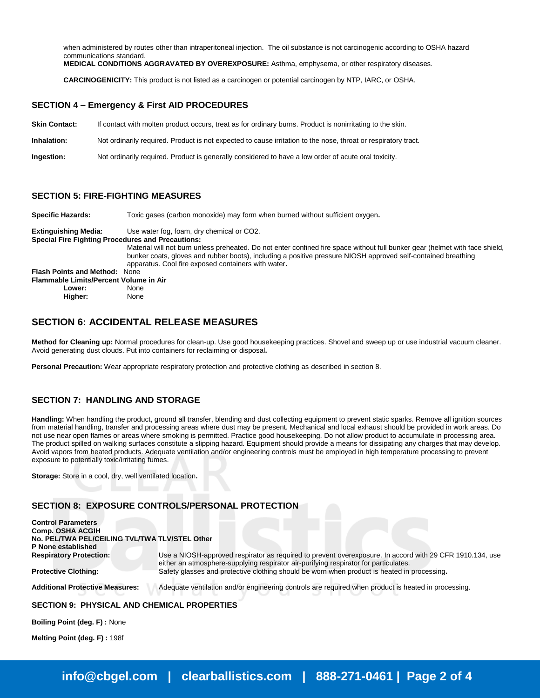when administered by routes other than intraperitoneal injection. The oil substance is not carcinogenic according to OSHA hazard communications standard.

**MEDICAL CONDITIONS AGGRAVATED BY OVEREXPOSURE:** Asthma, emphysema, or other respiratory diseases.

**CARCINOGENICITY:** This product is not listed as a carcinogen or potential carcinogen by NTP, IARC, or OSHA.

#### **SECTION 4 – Emergency & First AID PROCEDURES**

| <b>Skin Contact:</b> |  | If contact with molten product occurs, treat as for ordinary burns. Product is nonirritating to the skin. |
|----------------------|--|-----------------------------------------------------------------------------------------------------------|
|                      |  |                                                                                                           |

**Inhalation:** Not ordinarily required. Product is not expected to cause irritation to the nose, throat or respiratory tract.

**Ingestion:** Not ordinarily required. Product is generally considered to have a low order of acute oral toxicity.

#### **SECTION 5: FIRE-FIGHTING MEASURES**

**Specific Hazards:** Toxic gases (carbon monoxide) may form when burned without sufficient oxygen**.**

**Extinguishing Media:** Use water fog, foam, dry chemical or CO2.

**Special Fire Fighting Procedures and Precautions:**

Material will not burn unless preheated. Do not enter confined fire space without full bunker gear (helmet with face shield, bunker coats, gloves and rubber boots), including a positive pressure NIOSH approved self-contained breathing apparatus. Cool fire exposed containers with water**. Flash Points and Method:** None

**Flammable Limits/Percent Volume in Air Lower:** None

**Higher:** None

# **SECTION 6: ACCIDENTAL RELEASE MEASURES**

**Method for Cleaning up:** Normal procedures for clean-up. Use good housekeeping practices. Shovel and sweep up or use industrial vacuum cleaner. Avoid generating dust clouds. Put into containers for reclaiming or disposal**.**

**Personal Precaution:** Wear appropriate respiratory protection and protective clothing as described in section 8.

# **SECTION 7: HANDLING AND STORAGE**

**Handling:** When handling the product, ground all transfer, blending and dust collecting equipment to prevent static sparks. Remove all ignition sources from material handling, transfer and processing areas where dust may be present. Mechanical and local exhaust should be provided in work areas. Do not use near open flames or areas where smoking is permitted. Practice good housekeeping. Do not allow product to accumulate in processing area. The product spilled on walking surfaces constitute a slipping hazard. Equipment should provide a means for dissipating any charges that may develop. Avoid vapors from heated products. Adequate ventilation and/or engineering controls must be employed in high temperature processing to prevent exposure to potentially toxic/irritating fumes.

**Storage:** Store in a cool, dry, well ventilated location**.** 

## **SECTION 8: EXPOSURE CONTROLS/PERSONAL PROTECTION**

| <b>Control Parameters</b>                      |                                                                                                                                                                                                  |  |  |
|------------------------------------------------|--------------------------------------------------------------------------------------------------------------------------------------------------------------------------------------------------|--|--|
| Comp. OSHA ACGIH                               |                                                                                                                                                                                                  |  |  |
| No. PEL/TWA PEL/CEILING TVL/TWA TLV/STEL Other |                                                                                                                                                                                                  |  |  |
| P None established                             |                                                                                                                                                                                                  |  |  |
| <b>Respiratory Protection:</b>                 | Use a NIOSH-approved respirator as required to prevent overexposure. In accord with 29 CFR 1910.134, use<br>either an atmosphere-supplying respirator air-purifying respirator for particulates. |  |  |
| <b>Protective Clothing:</b>                    | Safety glasses and protective clothing should be worn when product is heated in processing.                                                                                                      |  |  |
| <b>Additional Protective Measures:</b>         | Adequate ventilation and/or engineering controls are required when product is heated in processing.                                                                                              |  |  |
|                                                |                                                                                                                                                                                                  |  |  |

**SECTION 9: PHYSICAL AND CHEMICAL PROPERTIES**

**Boiling Point (deg. F) :** None

**Melting Point (deg. F) :** 198f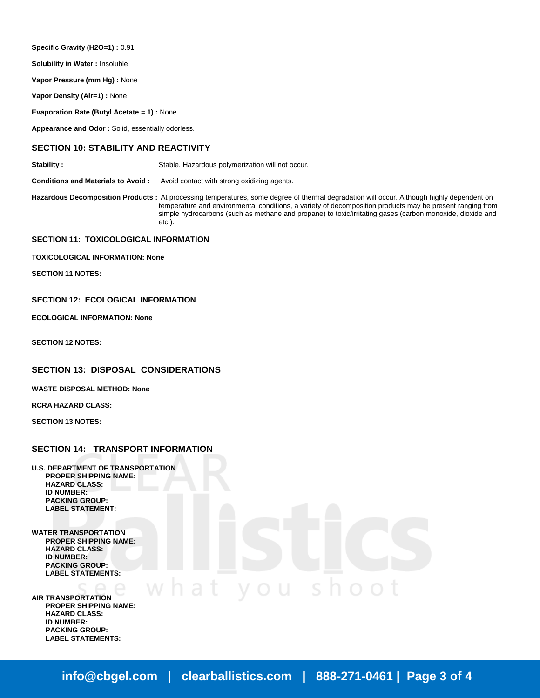**Specific Gravity (H2O=1) :** 0.91

**Solubility in Water :** Insoluble

**Vapor Pressure (mm Hg) :** None

**Vapor Density (Air=1) :** None

**Evaporation Rate (Butyl Acetate = 1) :** None

**Appearance and Odor :** Solid, essentially odorless.

# **SECTION 10: STABILITY AND REACTIVITY**

**Stability :** Stable. Hazardous polymerization will not occur.

**Conditions and Materials to Avoid :** Avoid contact with strong oxidizing agents.

**Hazardous Decomposition Products :** At processing temperatures, some degree of thermal degradation will occur. Although highly dependent on temperature and environmental conditions, a variety of decomposition products may be present ranging from simple hydrocarbons (such as methane and propane) to toxic/irritating gases (carbon monoxide, dioxide and etc.).

#### **SECTION 11: TOXICOLOGICAL INFORMATION**

**TOXICOLOGICAL INFORMATION: None**

**SECTION 11 NOTES:**

#### **SECTION 12: ECOLOGICAL INFORMATION**

**ECOLOGICAL INFORMATION: None**

**SECTION 12 NOTES:**

#### **SECTION 13: DISPOSAL CONSIDERATIONS**

**WASTE DISPOSAL METHOD: None**

**RCRA HAZARD CLASS:**

**SECTION 13 NOTES:**

#### **SECTION 14: TRANSPORT INFORMATION**

- **U.S. DEPARTMENT OF TRANSPORTATION PROPER SHIPPING NAME: HAZARD CLASS: ID NUMBER: PACKING GROUP: LABEL STATEMENT:**
- **WATER TRANSPORTATION PROPER SHIPPING NAME: HAZARD CLASS: ID NUMBER: PACKING GROUP: LABEL STATEMENTS:**

**AIR TRANSPORTATION PROPER SHIPPING NAME: HAZARD CLASS: ID NUMBER: PACKING GROUP: LABEL STATEMENTS:**